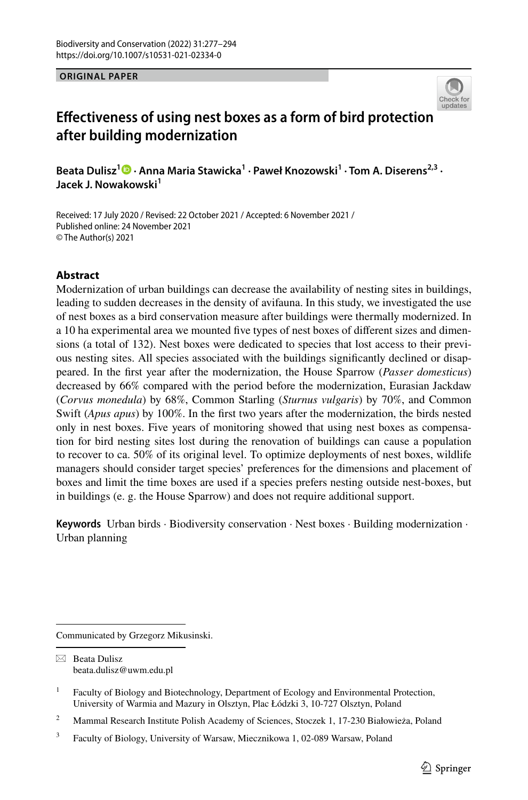**ORIGINAL PAPER**



# **Efectiveness of using nest boxes as a form of bird protection after building modernization**

**Beata Dulisz<sup>1</sup> · Anna Maria Stawicka1 · Paweł Knozowski1 · Tom A. Diserens2,3 · Jacek J. Nowakowski<sup>1</sup>**

Received: 17 July 2020 / Revised: 22 October 2021 / Accepted: 6 November 2021 / Published online: 24 November 2021 © The Author(s) 2021

### **Abstract**

Modernization of urban buildings can decrease the availability of nesting sites in buildings, leading to sudden decreases in the density of avifauna. In this study, we investigated the use of nest boxes as a bird conservation measure after buildings were thermally modernized. In a 10 ha experimental area we mounted fve types of nest boxes of diferent sizes and dimensions (a total of 132). Nest boxes were dedicated to species that lost access to their previous nesting sites. All species associated with the buildings signifcantly declined or disappeared. In the frst year after the modernization, the House Sparrow (*Passer domesticus*) decreased by 66% compared with the period before the modernization, Eurasian Jackdaw (*Corvus monedula*) by 68%, Common Starling (*Sturnus vulgaris*) by 70%, and Common Swift (*Apus apus*) by 100%. In the frst two years after the modernization, the birds nested only in nest boxes. Five years of monitoring showed that using nest boxes as compensation for bird nesting sites lost during the renovation of buildings can cause a population to recover to ca. 50% of its original level. To optimize deployments of nest boxes, wildlife managers should consider target species' preferences for the dimensions and placement of boxes and limit the time boxes are used if a species prefers nesting outside nest-boxes, but in buildings (e. g. the House Sparrow) and does not require additional support.

**Keywords** Urban birds · Biodiversity conservation · Nest boxes · Building modernization · Urban planning

Communicated by Grzegorz Mikusinski.

 $\boxtimes$  Beata Dulisz beata.dulisz@uwm.edu.pl

<sup>2</sup> Mammal Research Institute Polish Academy of Sciences, Stoczek 1, 17-230 Białowieża, Poland

<sup>&</sup>lt;sup>1</sup> Faculty of Biology and Biotechnology, Department of Ecology and Environmental Protection, University of Warmia and Mazury in Olsztyn, Plac Łódzki 3, 10-727 Olsztyn, Poland

<sup>3</sup> Faculty of Biology, University of Warsaw, Miecznikowa 1, 02-089 Warsaw, Poland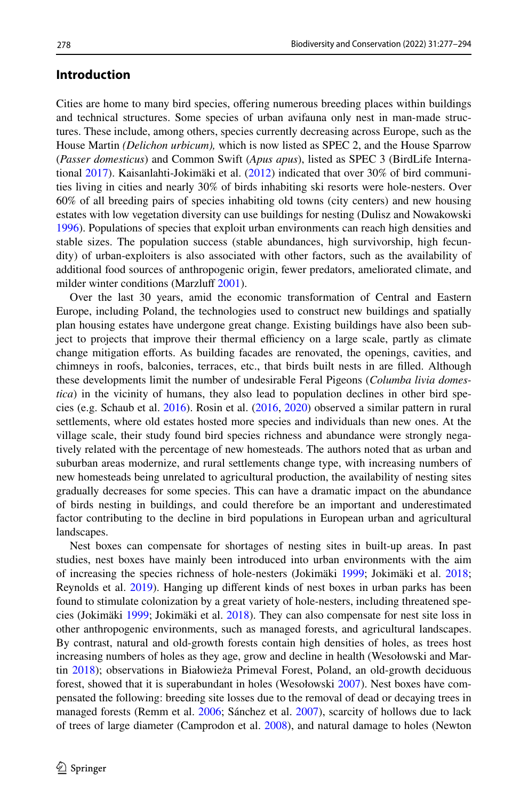### **Introduction**

Cities are home to many bird species, ofering numerous breeding places within buildings and technical structures. Some species of urban avifauna only nest in man-made structures. These include, among others, species currently decreasing across Europe, such as the House Martin *(Delichon urbicum),* which is now listed as SPEC 2, and the House Sparrow (*Passer domesticus*) and Common Swift (*Apus apus*), listed as SPEC 3 (BirdLife International [2017](#page-14-0)). Kaisanlahti-Jokimäki et al. ([2012\)](#page-15-0) indicated that over 30% of bird communities living in cities and nearly 30% of birds inhabiting ski resorts were hole-nesters. Over 60% of all breeding pairs of species inhabiting old towns (city centers) and new housing estates with low vegetation diversity can use buildings for nesting (Dulisz and Nowakowski [1996\)](#page-14-1). Populations of species that exploit urban environments can reach high densities and stable sizes. The population success (stable abundances, high survivorship, high fecundity) of urban-exploiters is also associated with other factors, such as the availability of additional food sources of anthropogenic origin, fewer predators, ameliorated climate, and milder winter conditions (Marzluff [2001](#page-15-1)).

Over the last 30 years, amid the economic transformation of Central and Eastern Europe, including Poland, the technologies used to construct new buildings and spatially plan housing estates have undergone great change. Existing buildings have also been subject to projects that improve their thermal efficiency on a large scale, partly as climate change mitigation eforts. As building facades are renovated, the openings, cavities, and chimneys in roofs, balconies, terraces, etc., that birds built nests in are flled. Although these developments limit the number of undesirable Feral Pigeons (*Columba livia domestica*) in the vicinity of humans, they also lead to population declines in other bird species (e.g. Schaub et al. [2016](#page-16-0)). Rosin et al. ([2016,](#page-16-1) [2020\)](#page-16-2) observed a similar pattern in rural settlements, where old estates hosted more species and individuals than new ones. At the village scale, their study found bird species richness and abundance were strongly negatively related with the percentage of new homesteads. The authors noted that as urban and suburban areas modernize, and rural settlements change type, with increasing numbers of new homesteads being unrelated to agricultural production, the availability of nesting sites gradually decreases for some species. This can have a dramatic impact on the abundance of birds nesting in buildings, and could therefore be an important and underestimated factor contributing to the decline in bird populations in European urban and agricultural landscapes.

Nest boxes can compensate for shortages of nesting sites in built-up areas. In past studies, nest boxes have mainly been introduced into urban environments with the aim of increasing the species richness of hole-nesters (Jokimäki [1999](#page-15-2); Jokimäki et al. [2018;](#page-15-3) Reynolds et al. [2019](#page-16-3)). Hanging up diferent kinds of nest boxes in urban parks has been found to stimulate colonization by a great variety of hole-nesters, including threatened species (Jokimäki [1999](#page-15-2); Jokimäki et al. [2018\)](#page-15-3). They can also compensate for nest site loss in other anthropogenic environments, such as managed forests, and agricultural landscapes. By contrast, natural and old-growth forests contain high densities of holes, as trees host increasing numbers of holes as they age, grow and decline in health (Wesołowski and Martin [2018](#page-17-0)); observations in Białowieża Primeval Forest, Poland, an old-growth deciduous forest, showed that it is superabundant in holes (Wesołowski [2007](#page-17-1)). Nest boxes have compensated the following: breeding site losses due to the removal of dead or decaying trees in managed forests (Remm et al. [2006](#page-16-4); Sánchez et al. [2007](#page-16-5)), scarcity of hollows due to lack of trees of large diameter (Camprodon et al. [2008](#page-14-2)), and natural damage to holes (Newton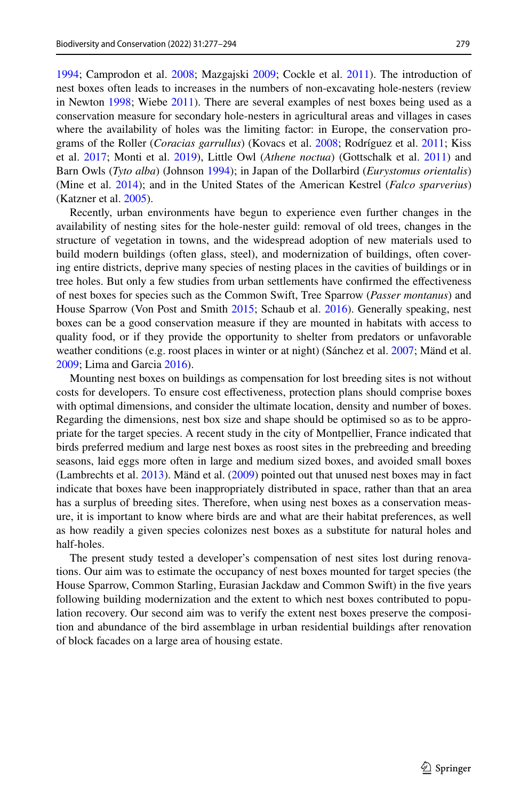[1994;](#page-16-6) Camprodon et al. [2008;](#page-14-2) Mazgajski [2009;](#page-15-4) Cockle et al. [2011\)](#page-14-3). The introduction of nest boxes often leads to increases in the numbers of non-excavating hole-nesters (review in Newton [1998](#page-16-7); Wiebe [2011\)](#page-17-2). There are several examples of nest boxes being used as a conservation measure for secondary hole-nesters in agricultural areas and villages in cases where the availability of holes was the limiting factor: in Europe, the conservation programs of the Roller (*Coracias garrullus*) (Kovacs et al. [2008;](#page-15-5) Rodríguez et al. [2011](#page-16-8); Kiss et al. [2017;](#page-15-6) Monti et al. [2019\)](#page-16-9), Little Owl (*Athene noctua*) (Gottschalk et al. [2011](#page-14-4)) and Barn Owls (*Tyto alba*) (Johnson [1994\)](#page-15-7); in Japan of the Dollarbird (*Eurystomus orientalis*) (Mine et al. [2014](#page-16-10)); and in the United States of the American Kestrel (*Falco sparverius*) (Katzner et al. [2005](#page-15-8)).

Recently, urban environments have begun to experience even further changes in the availability of nesting sites for the hole-nester guild: removal of old trees, changes in the structure of vegetation in towns, and the widespread adoption of new materials used to build modern buildings (often glass, steel), and modernization of buildings, often covering entire districts, deprive many species of nesting places in the cavities of buildings or in tree holes. But only a few studies from urban settlements have confrmed the efectiveness of nest boxes for species such as the Common Swift, Tree Sparrow (*Passer montanus*) and House Sparrow (Von Post and Smith [2015;](#page-17-3) Schaub et al. [2016](#page-16-0)). Generally speaking, nest boxes can be a good conservation measure if they are mounted in habitats with access to quality food, or if they provide the opportunity to shelter from predators or unfavorable weather conditions (e.g. roost places in winter or at night) (Sánchez et al. [2007;](#page-16-5) Mänd et al. [2009;](#page-15-9) Lima and Garcia [2016\)](#page-15-10).

Mounting nest boxes on buildings as compensation for lost breeding sites is not without costs for developers. To ensure cost efectiveness, protection plans should comprise boxes with optimal dimensions, and consider the ultimate location, density and number of boxes. Regarding the dimensions, nest box size and shape should be optimised so as to be appropriate for the target species. A recent study in the city of Montpellier, France indicated that birds preferred medium and large nest boxes as roost sites in the prebreeding and breeding seasons, laid eggs more often in large and medium sized boxes, and avoided small boxes (Lambrechts et al. [2013\)](#page-15-11). Mänd et al. ([2009\)](#page-15-9) pointed out that unused nest boxes may in fact indicate that boxes have been inappropriately distributed in space, rather than that an area has a surplus of breeding sites. Therefore, when using nest boxes as a conservation measure, it is important to know where birds are and what are their habitat preferences, as well as how readily a given species colonizes nest boxes as a substitute for natural holes and half-holes.

The present study tested a developer's compensation of nest sites lost during renovations. Our aim was to estimate the occupancy of nest boxes mounted for target species (the House Sparrow, Common Starling, Eurasian Jackdaw and Common Swift) in the fve years following building modernization and the extent to which nest boxes contributed to population recovery. Our second aim was to verify the extent nest boxes preserve the composition and abundance of the bird assemblage in urban residential buildings after renovation of block facades on a large area of housing estate.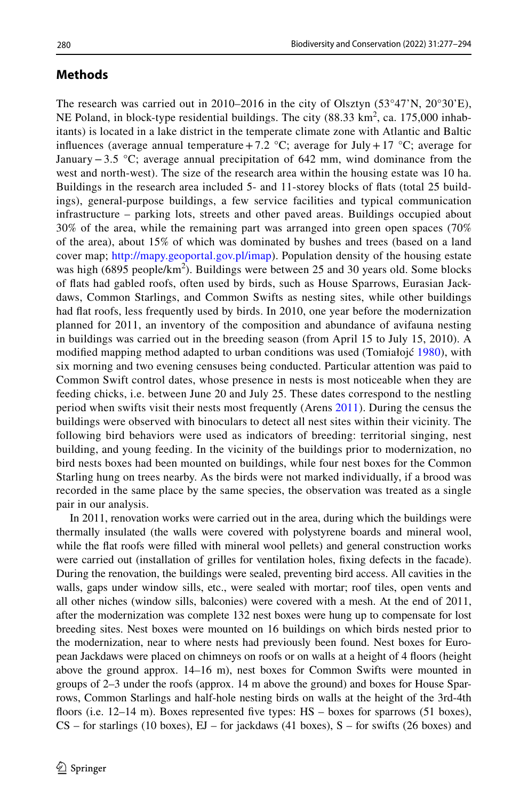## **Methods**

The research was carried out in 2010–2016 in the city of Olsztyn  $(53^{\circ}47'N, 20^{\circ}30'E)$ , NE Poland, in block-type residential buildings. The city  $(88.33 \text{ km}^2, \text{ca. } 175,000 \text{ inhab}$ itants) is located in a lake district in the temperate climate zone with Atlantic and Baltic influences (average annual temperature +7.2  $\degree$ C; average for July + 17  $\degree$ C; average for January−3.5 °C; average annual precipitation of 642 mm, wind dominance from the west and north-west). The size of the research area within the housing estate was 10 ha. Buildings in the research area included 5- and 11-storey blocks of fats (total 25 buildings), general-purpose buildings, a few service facilities and typical communication infrastructure – parking lots, streets and other paved areas. Buildings occupied about 30% of the area, while the remaining part was arranged into green open spaces (70% of the area), about 15% of which was dominated by bushes and trees (based on a land cover map; <http://mapy.geoportal.gov.pl/imap>). Population density of the housing estate was high (6895 people/ $km^2$ ). Buildings were between 25 and 30 years old. Some blocks of fats had gabled roofs, often used by birds, such as House Sparrows, Eurasian Jackdaws, Common Starlings, and Common Swifts as nesting sites, while other buildings had fat roofs, less frequently used by birds. In 2010, one year before the modernization planned for 2011, an inventory of the composition and abundance of avifauna nesting in buildings was carried out in the breeding season (from April 15 to July 15, 2010). A modifed mapping method adapted to urban conditions was used (Tomiałojć [1980\)](#page-17-4), with six morning and two evening censuses being conducted. Particular attention was paid to Common Swift control dates, whose presence in nests is most noticeable when they are feeding chicks, i.e. between June 20 and July 25. These dates correspond to the nestling period when swifts visit their nests most frequently (Arens [2011\)](#page-14-5). During the census the buildings were observed with binoculars to detect all nest sites within their vicinity. The following bird behaviors were used as indicators of breeding: territorial singing, nest building, and young feeding. In the vicinity of the buildings prior to modernization, no bird nests boxes had been mounted on buildings, while four nest boxes for the Common Starling hung on trees nearby. As the birds were not marked individually, if a brood was recorded in the same place by the same species, the observation was treated as a single pair in our analysis.

In 2011, renovation works were carried out in the area, during which the buildings were thermally insulated (the walls were covered with polystyrene boards and mineral wool, while the flat roofs were filled with mineral wool pellets) and general construction works were carried out (installation of grilles for ventilation holes, fxing defects in the facade). During the renovation, the buildings were sealed, preventing bird access. All cavities in the walls, gaps under window sills, etc., were sealed with mortar; roof tiles, open vents and all other niches (window sills, balconies) were covered with a mesh. At the end of 2011, after the modernization was complete 132 nest boxes were hung up to compensate for lost breeding sites. Nest boxes were mounted on 16 buildings on which birds nested prior to the modernization, near to where nests had previously been found. Nest boxes for European Jackdaws were placed on chimneys on roofs or on walls at a height of 4 foors (height above the ground approx. 14–16 m), nest boxes for Common Swifts were mounted in groups of 2–3 under the roofs (approx. 14 m above the ground) and boxes for House Sparrows, Common Starlings and half-hole nesting birds on walls at the height of the 3rd-4th floors (i.e. 12–14 m). Boxes represented five types: HS – boxes for sparrows (51 boxes),  $CS$  – for starlings (10 boxes),  $EJ$  – for jackdaws (41 boxes),  $S$  – for swifts (26 boxes) and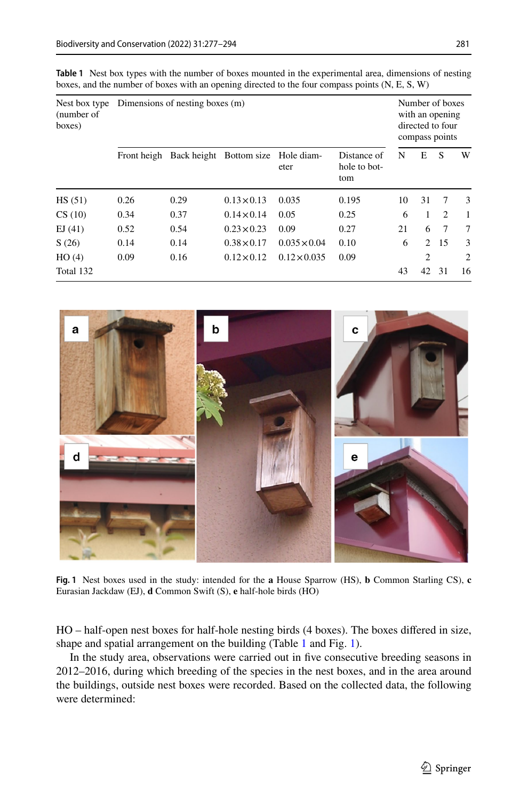| Nest box type<br>(number of<br>boxes) | Dimensions of nesting boxes (m) |      |                         |                     |                                    |    | Number of boxes<br>with an opening<br>directed to four<br>compass points |                |                |  |
|---------------------------------------|---------------------------------|------|-------------------------|---------------------|------------------------------------|----|--------------------------------------------------------------------------|----------------|----------------|--|
|                                       | Front heigh                     |      | Back height Bottom size | Hole diam-<br>eter  | Distance of<br>hole to bot-<br>tom | N  | E                                                                        | S              | W              |  |
| HS (51)                               | 0.26                            | 0.29 | $0.13 \times 0.13$      | 0.035               | 0.195                              | 10 | 31                                                                       | 7              | 3              |  |
| CS (10)                               | 0.34                            | 0.37 | $0.14 \times 0.14$      | 0.05                | 0.25                               | 6  |                                                                          | $\overline{2}$ | 1              |  |
| EJ(41)                                | 0.52                            | 0.54 | $0.23 \times 0.23$      | 0.09                | 0.27                               | 21 | 6                                                                        | 7              | 7              |  |
| S(26)                                 | 0.14                            | 0.14 | $0.38 \times 0.17$      | $0.035 \times 0.04$ | 0.10                               | 6  | $\mathfrak{D}$                                                           | -15            | 3              |  |
| HO(4)                                 | 0.09                            | 0.16 | $0.12 \times 0.12$      | $0.12 \times 0.035$ | 0.09                               |    | $\overline{c}$                                                           |                | $\overline{c}$ |  |
| Total 132                             |                                 |      |                         |                     |                                    | 43 | 42                                                                       | 31             | 16             |  |

<span id="page-4-0"></span>**Table 1** Nest box types with the number of boxes mounted in the experimental area, dimensions of nesting boxes, and the number of boxes with an opening directed to the four compass points (N, E, S, W)



**Fig. 1** Nest boxes used in the study: intended for the **a** House Sparrow (HS), **b** Common Starling CS), **c** Eurasian Jackdaw (EJ), **d** Common Swift (S), **e** half-hole birds (HO)

<span id="page-4-1"></span>HO – half-open nest boxes for half-hole nesting birds (4 boxes). The boxes difered in size, shape and spatial arrangement on the building (Table [1](#page-4-0) and Fig. [1](#page-4-1)).

In the study area, observations were carried out in fve consecutive breeding seasons in 2012–2016, during which breeding of the species in the nest boxes, and in the area around the buildings, outside nest boxes were recorded. Based on the collected data, the following were determined: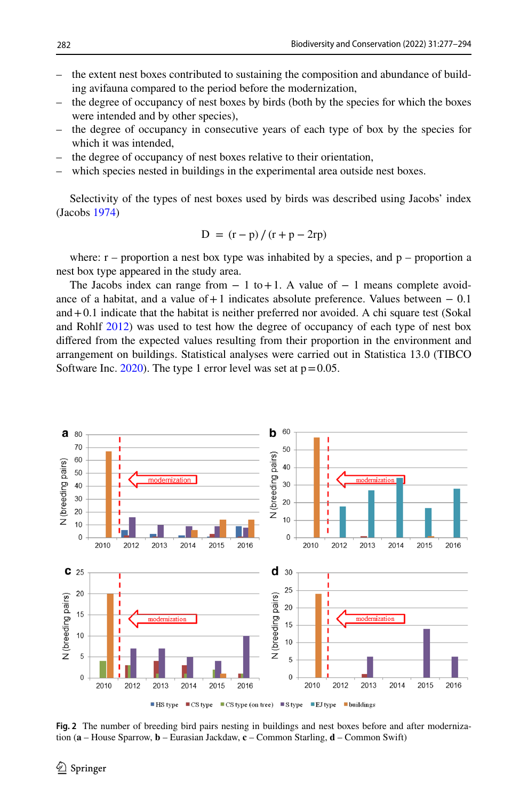- the extent nest boxes contributed to sustaining the composition and abundance of building avifauna compared to the period before the modernization,
- the degree of occupancy of nest boxes by birds (both by the species for which the boxes were intended and by other species),
- the degree of occupancy in consecutive years of each type of box by the species for which it was intended,
- the degree of occupancy of nest boxes relative to their orientation,
- which species nested in buildings in the experimental area outside nest boxes.

Selectivity of the types of nest boxes used by birds was described using Jacobs' index (Jacobs [1974](#page-15-12))

$$
D = (r - p) / (r + p - 2rp)
$$

where:  $r -$  proportion a nest box type was inhabited by a species, and  $p -$  proportion a nest box type appeared in the study area.

The Jacobs index can range from  $-1$  to  $+1$ . A value of  $-1$  means complete avoidance of a habitat, and a value of  $+1$  indicates absolute preference. Values between  $-0.1$ and  $+0.1$  indicate that the habitat is neither preferred nor avoided. A chi square test (Sokal and Rohlf [2012](#page-17-5)) was used to test how the degree of occupancy of each type of nest box difered from the expected values resulting from their proportion in the environment and arrangement on buildings. Statistical analyses were carried out in Statistica 13.0 (TIBCO Software Inc.  $2020$ ). The type 1 error level was set at  $p=0.05$ .



<span id="page-5-0"></span>**Fig. 2** The number of breeding bird pairs nesting in buildings and nest boxes before and after modernization (**a** – House Sparrow, **b** – Eurasian Jackdaw, **c** – Common Starling, **d** – Common Swift)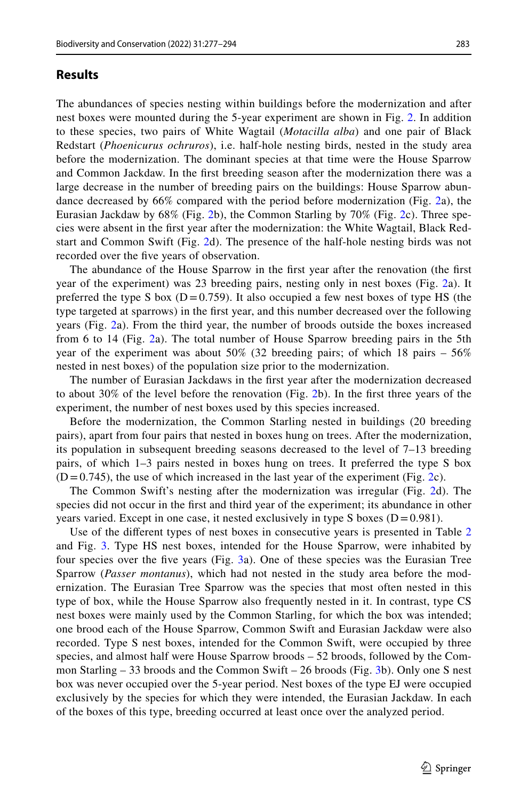### **Results**

The abundances of species nesting within buildings before the modernization and after nest boxes were mounted during the 5-year experiment are shown in Fig. [2](#page-5-0). In addition to these species, two pairs of White Wagtail (*Motacilla alba*) and one pair of Black Redstart (*Phoenicurus ochruros*), i.e. half-hole nesting birds, nested in the study area before the modernization. The dominant species at that time were the House Sparrow and Common Jackdaw. In the frst breeding season after the modernization there was a large decrease in the number of breeding pairs on the buildings: House Sparrow abundance decreased by 66% compared with the period before modernization (Fig. [2](#page-5-0)a), the Eurasian Jackdaw by 68% (Fig. [2](#page-5-0)b), the Common Starling by 70% (Fig. [2c](#page-5-0)). Three species were absent in the frst year after the modernization: the White Wagtail, Black Redstart and Common Swift (Fig. [2](#page-5-0)d). The presence of the half-hole nesting birds was not recorded over the fve years of observation.

The abundance of the House Sparrow in the frst year after the renovation (the frst year of the experiment) was 23 breeding pairs, nesting only in nest boxes (Fig. [2](#page-5-0)a). It preferred the type S box ( $D = 0.759$ ). It also occupied a few nest boxes of type HS (the type targeted at sparrows) in the frst year, and this number decreased over the following years (Fig. [2](#page-5-0)a). From the third year, the number of broods outside the boxes increased from 6 to 14 (Fig. [2](#page-5-0)a). The total number of House Sparrow breeding pairs in the 5th year of the experiment was about 50% (32 breeding pairs; of which 18 pairs – 56% nested in nest boxes) of the population size prior to the modernization.

The number of Eurasian Jackdaws in the frst year after the modernization decreased to about 30% of the level before the renovation (Fig. [2b](#page-5-0)). In the frst three years of the experiment, the number of nest boxes used by this species increased.

Before the modernization, the Common Starling nested in buildings (20 breeding pairs), apart from four pairs that nested in boxes hung on trees. After the modernization, its population in subsequent breeding seasons decreased to the level of 7–13 breeding pairs, of which 1–3 pairs nested in boxes hung on trees. It preferred the type S box  $(D=0.745)$ , the use of which increased in the last year of the experiment (Fig. [2](#page-5-0)c).

The Common Swift's nesting after the modernization was irregular (Fig. [2](#page-5-0)d). The species did not occur in the frst and third year of the experiment; its abundance in other years varied. Except in one case, it nested exclusively in type S boxes  $(D=0.981)$ .

Use of the diferent types of nest boxes in consecutive years is presented in Table [2](#page-7-0) and Fig. [3](#page-8-0). Type HS nest boxes, intended for the House Sparrow, were inhabited by four species over the fve years (Fig. [3](#page-8-0)a). One of these species was the Eurasian Tree Sparrow (*Passer montanus*), which had not nested in the study area before the modernization. The Eurasian Tree Sparrow was the species that most often nested in this type of box, while the House Sparrow also frequently nested in it. In contrast, type CS nest boxes were mainly used by the Common Starling, for which the box was intended; one brood each of the House Sparrow, Common Swift and Eurasian Jackdaw were also recorded. Type S nest boxes, intended for the Common Swift, were occupied by three species, and almost half were House Sparrow broods – 52 broods, followed by the Common Starling – 33 broods and the Common Swift – 26 broods (Fig. [3](#page-8-0)b). Only one S nest box was never occupied over the 5-year period. Nest boxes of the type EJ were occupied exclusively by the species for which they were intended, the Eurasian Jackdaw. In each of the boxes of this type, breeding occurred at least once over the analyzed period.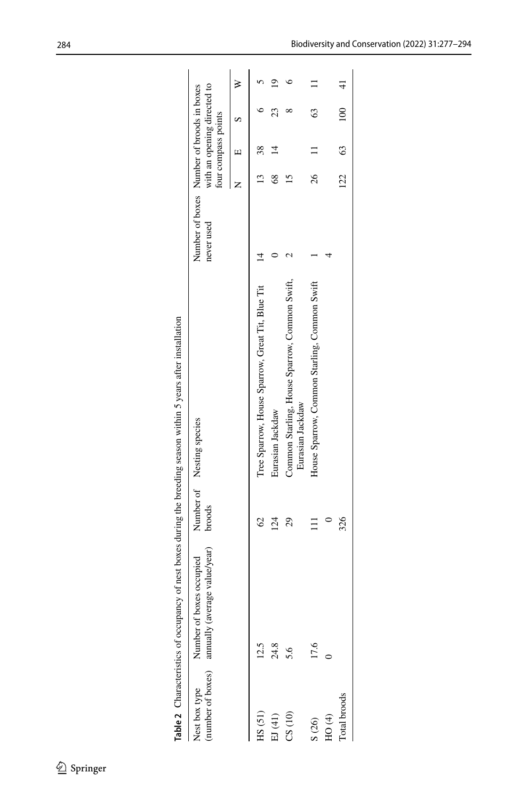<span id="page-7-0"></span>

|               |                                                                             |          | Table 2 Characteristics of occupancy of nest boxes during the breeding season within 5 years after installation |                                                         |          |                     |                             |  |
|---------------|-----------------------------------------------------------------------------|----------|-----------------------------------------------------------------------------------------------------------------|---------------------------------------------------------|----------|---------------------|-----------------------------|--|
| Nest box type | (number of boxes) annually (average value/year)<br>Number of boxes occupied | broods   | Number of Nesting species                                                                                       | Number of boxes Number of broods in boxes<br>never used |          | four compass points | with an opening directed to |  |
|               |                                                                             |          |                                                                                                                 |                                                         |          |                     |                             |  |
| HS(51)        | 12.5                                                                        | S        | Tree Sparrow, House Sparrow, Great Tit, Blue Tit                                                                |                                                         |          |                     |                             |  |
| EJ (41)       | 24.8                                                                        | $^{124}$ | Eurasian Jackdaw                                                                                                |                                                         |          |                     | 23                          |  |
| CS(10)        | 5.6                                                                         | 29       | Common Starling, House Sparrow, Common Swift,<br>Eurasian Jackdaw                                               |                                                         |          |                     |                             |  |
| S(26)         | 17.6                                                                        |          | House Sparrow, Common Starling, Common Swift                                                                    |                                                         | 26       |                     | 63                          |  |
| HO(4)         |                                                                             |          |                                                                                                                 |                                                         |          |                     |                             |  |
| Total broods  |                                                                             | 326      |                                                                                                                 |                                                         | $122$ 63 |                     | 100 41                      |  |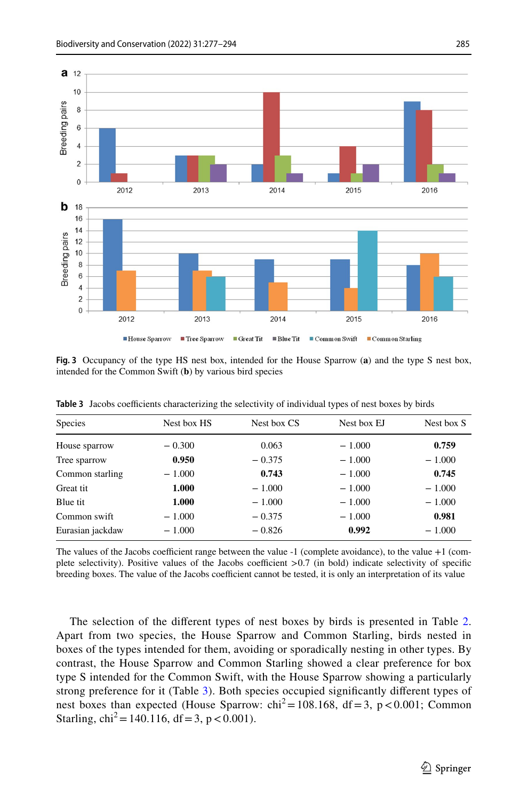

<span id="page-8-0"></span>**Fig. 3** Occupancy of the type HS nest box, intended for the House Sparrow (**a**) and the type S nest box, intended for the Common Swift (**b**) by various bird species

| <b>Species</b>   | Nest box HS | Nest box CS | Nest box EJ | Nest box S |
|------------------|-------------|-------------|-------------|------------|
| House sparrow    | $-0.300$    | 0.063       | $-1.000$    | 0.759      |
| Tree sparrow     | 0.950       | $-0.375$    | $-1.000$    | $-1.000$   |
| Common starling  | $-1.000$    | 0.743       | $-1.000$    | 0.745      |
| Great tit        | 1.000       | $-1.000$    | $-1.000$    | $-1.000$   |
| Blue tit         | 1.000       | $-1.000$    | $-1.000$    | $-1.000$   |
| Common swift     | $-1.000$    | $-0.375$    | $-1.000$    | 0.981      |
| Eurasian jackdaw | $-1.000$    | $-0.826$    | 0.992       | $-1.000$   |
|                  |             |             |             |            |

<span id="page-8-1"></span>Table 3 Jacobs coefficients characterizing the selectivity of individual types of nest boxes by birds

The values of the Jacobs coefficient range between the value  $-1$  (complete avoidance), to the value  $+1$  (complete selectivity). Positive values of the Jacobs coefficient  $>0.7$  (in bold) indicate selectivity of specific breeding boxes. The value of the Jacobs coefficient cannot be tested, it is only an interpretation of its value

The selection of the diferent types of nest boxes by birds is presented in Table [2](#page-7-0). Apart from two species, the House Sparrow and Common Starling, birds nested in boxes of the types intended for them, avoiding or sporadically nesting in other types. By contrast, the House Sparrow and Common Starling showed a clear preference for box type S intended for the Common Swift, with the House Sparrow showing a particularly strong preference for it (Table [3\)](#page-8-1). Both species occupied signifcantly diferent types of nest boxes than expected (House Sparrow:  $\text{chi}^2 = 108.168$ , df = 3, p < 0.001; Common Starling,  $\text{chi}^2 = 140.116$ ,  $\text{df} = 3$ ,  $p < 0.001$ ).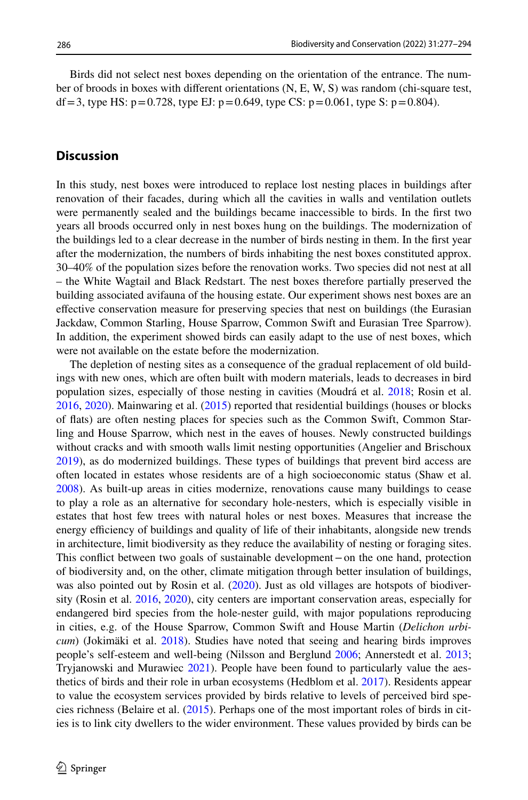Birds did not select nest boxes depending on the orientation of the entrance. The number of broods in boxes with diferent orientations (N, E, W, S) was random (chi-square test, df = 3, type HS:  $p = 0.728$ , type EJ:  $p = 0.649$ , type CS:  $p = 0.061$ , type S:  $p = 0.804$ ).

# **Discussion**

In this study, nest boxes were introduced to replace lost nesting places in buildings after renovation of their facades, during which all the cavities in walls and ventilation outlets were permanently sealed and the buildings became inaccessible to birds. In the frst two years all broods occurred only in nest boxes hung on the buildings. The modernization of the buildings led to a clear decrease in the number of birds nesting in them. In the frst year after the modernization, the numbers of birds inhabiting the nest boxes constituted approx. 30–40% of the population sizes before the renovation works. Two species did not nest at all – the White Wagtail and Black Redstart. The nest boxes therefore partially preserved the building associated avifauna of the housing estate. Our experiment shows nest boxes are an efective conservation measure for preserving species that nest on buildings (the Eurasian Jackdaw, Common Starling, House Sparrow, Common Swift and Eurasian Tree Sparrow). In addition, the experiment showed birds can easily adapt to the use of nest boxes, which were not available on the estate before the modernization.

The depletion of nesting sites as a consequence of the gradual replacement of old buildings with new ones, which are often built with modern materials, leads to decreases in bird population sizes, especially of those nesting in cavities (Moudrá et al. [2018](#page-16-11); Rosin et al. [2016,](#page-16-1) [2020\)](#page-16-2). Mainwaring et al. [\(2015](#page-15-13)) reported that residential buildings (houses or blocks of fats) are often nesting places for species such as the Common Swift, Common Starling and House Sparrow, which nest in the eaves of houses. Newly constructed buildings without cracks and with smooth walls limit nesting opportunities (Angelier and Brischoux [2019\)](#page-13-0), as do modernized buildings. These types of buildings that prevent bird access are often located in estates whose residents are of a high socioeconomic status (Shaw et al. [2008\)](#page-17-7). As built-up areas in cities modernize, renovations cause many buildings to cease to play a role as an alternative for secondary hole-nesters, which is especially visible in estates that host few trees with natural holes or nest boxes. Measures that increase the energy efficiency of buildings and quality of life of their inhabitants, alongside new trends in architecture, limit biodiversity as they reduce the availability of nesting or foraging sites. This confict between two goals of sustainable development−on the one hand, protection of biodiversity and, on the other, climate mitigation through better insulation of buildings, was also pointed out by Rosin et al. [\(2020](#page-16-2)). Just as old villages are hotspots of biodiversity (Rosin et al. [2016,](#page-16-1) [2020\)](#page-16-2), city centers are important conservation areas, especially for endangered bird species from the hole-nester guild, with major populations reproducing in cities, e.g. of the House Sparrow, Common Swift and House Martin (*Delichon urbicum*) (Jokimäki et al. [2018](#page-15-3)). Studies have noted that seeing and hearing birds improves people's self-esteem and well-being (Nilsson and Berglund [2006;](#page-16-12) Annerstedt et al. [2013;](#page-14-6) Tryjanowski and Murawiec [2021](#page-17-8)). People have been found to particularly value the aesthetics of birds and their role in urban ecosystems (Hedblom et al. [2017\)](#page-15-14). Residents appear to value the ecosystem services provided by birds relative to levels of perceived bird species richness (Belaire et al. [\(2015](#page-14-7)). Perhaps one of the most important roles of birds in cities is to link city dwellers to the wider environment. These values provided by birds can be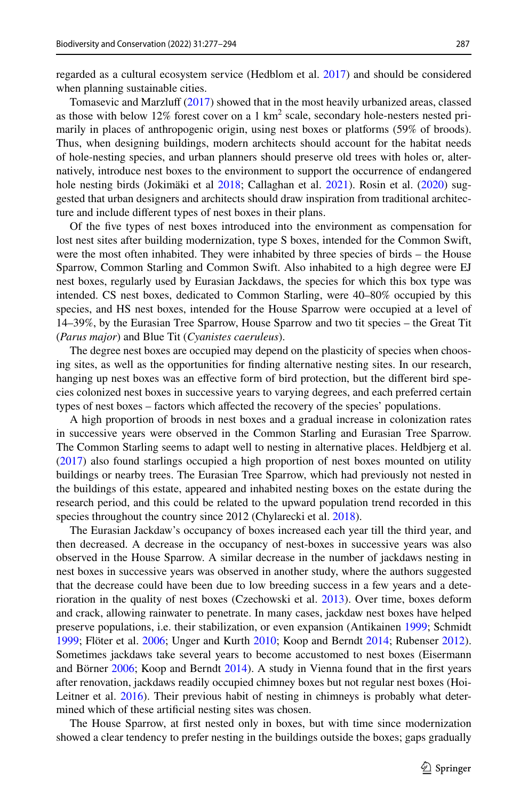regarded as a cultural ecosystem service (Hedblom et al. [2017](#page-15-14)) and should be considered when planning sustainable cities.

Tomasevic and Marzluf ([2017\)](#page-17-9) showed that in the most heavily urbanized areas, classed as those with below  $12\%$  forest cover on a 1 km<sup>2</sup> scale, secondary hole-nesters nested primarily in places of anthropogenic origin, using nest boxes or platforms (59% of broods). Thus, when designing buildings, modern architects should account for the habitat needs of hole-nesting species, and urban planners should preserve old trees with holes or, alternatively, introduce nest boxes to the environment to support the occurrence of endangered hole nesting birds (Jokimäki et al [2018](#page-15-3); Callaghan et al. [2021](#page-14-8)). Rosin et al. ([2020\)](#page-16-2) suggested that urban designers and architects should draw inspiration from traditional architecture and include diferent types of nest boxes in their plans.

Of the fve types of nest boxes introduced into the environment as compensation for lost nest sites after building modernization, type S boxes, intended for the Common Swift, were the most often inhabited. They were inhabited by three species of birds – the House Sparrow, Common Starling and Common Swift. Also inhabited to a high degree were EJ nest boxes, regularly used by Eurasian Jackdaws, the species for which this box type was intended. CS nest boxes, dedicated to Common Starling, were 40–80% occupied by this species, and HS nest boxes, intended for the House Sparrow were occupied at a level of 14–39%, by the Eurasian Tree Sparrow, House Sparrow and two tit species – the Great Tit (*Parus major*) and Blue Tit (*Cyanistes caeruleus*).

The degree nest boxes are occupied may depend on the plasticity of species when choosing sites, as well as the opportunities for fnding alternative nesting sites. In our research, hanging up nest boxes was an efective form of bird protection, but the diferent bird species colonized nest boxes in successive years to varying degrees, and each preferred certain types of nest boxes – factors which afected the recovery of the species' populations.

A high proportion of broods in nest boxes and a gradual increase in colonization rates in successive years were observed in the Common Starling and Eurasian Tree Sparrow. The Common Starling seems to adapt well to nesting in alternative places. Heldbjerg et al. ([2017\)](#page-15-15) also found starlings occupied a high proportion of nest boxes mounted on utility buildings or nearby trees. The Eurasian Tree Sparrow, which had previously not nested in the buildings of this estate, appeared and inhabited nesting boxes on the estate during the research period, and this could be related to the upward population trend recorded in this species throughout the country since 2012 (Chylarecki et al. [2018\)](#page-14-9).

The Eurasian Jackdaw's occupancy of boxes increased each year till the third year, and then decreased. A decrease in the occupancy of nest-boxes in successive years was also observed in the House Sparrow. A similar decrease in the number of jackdaws nesting in nest boxes in successive years was observed in another study, where the authors suggested that the decrease could have been due to low breeding success in a few years and a deterioration in the quality of nest boxes (Czechowski et al. [2013\)](#page-14-10). Over time, boxes deform and crack, allowing rainwater to penetrate. In many cases, jackdaw nest boxes have helped preserve populations, i.e. their stabilization, or even expansion (Antikainen [1999;](#page-14-11) Schmidt [1999;](#page-16-13) Flöter et al. [2006;](#page-14-12) Unger and Kurth [2010](#page-17-10); Koop and Berndt [2014;](#page-15-16) Rubenser [2012](#page-16-14)). Sometimes jackdaws take several years to become accustomed to nest boxes (Eisermann and Börner [2006;](#page-14-13) Koop and Berndt [2014](#page-15-16)). A study in Vienna found that in the frst years after renovation, jackdaws readily occupied chimney boxes but not regular nest boxes (Hoi-Leitner et al. [2016](#page-15-17)). Their previous habit of nesting in chimneys is probably what determined which of these artifcial nesting sites was chosen.

The House Sparrow, at frst nested only in boxes, but with time since modernization showed a clear tendency to prefer nesting in the buildings outside the boxes; gaps gradually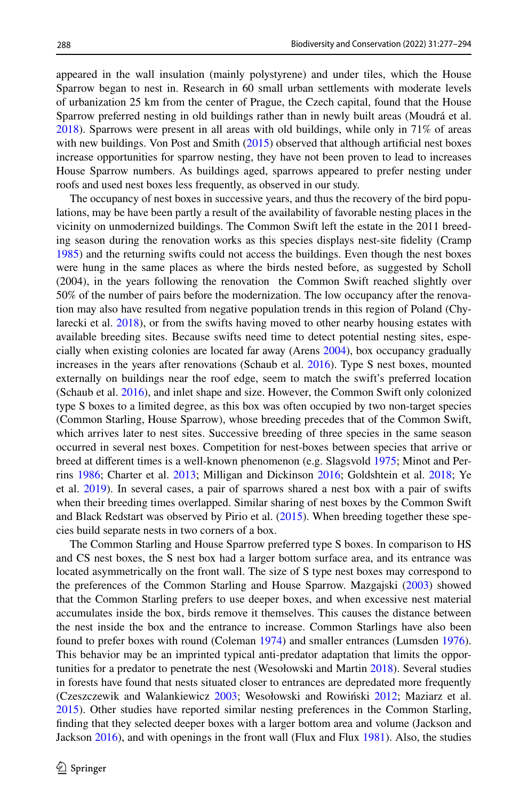appeared in the wall insulation (mainly polystyrene) and under tiles, which the House Sparrow began to nest in. Research in 60 small urban settlements with moderate levels of urbanization 25 km from the center of Prague, the Czech capital, found that the House Sparrow preferred nesting in old buildings rather than in newly built areas (Moudrá et al. [2018\)](#page-16-11). Sparrows were present in all areas with old buildings, while only in 71% of areas with new buildings. Von Post and Smith [\(2015](#page-17-3)) observed that although artificial nest boxes increase opportunities for sparrow nesting, they have not been proven to lead to increases House Sparrow numbers. As buildings aged, sparrows appeared to prefer nesting under roofs and used nest boxes less frequently, as observed in our study.

The occupancy of nest boxes in successive years, and thus the recovery of the bird populations, may be have been partly a result of the availability of favorable nesting places in the vicinity on unmodernized buildings. The Common Swift left the estate in the 2011 breeding season during the renovation works as this species displays nest-site fdelity (Cramp [1985\)](#page-14-14) and the returning swifts could not access the buildings. Even though the nest boxes were hung in the same places as where the birds nested before, as suggested by Scholl (2004), in the years following the renovation the Common Swift reached slightly over 50% of the number of pairs before the modernization. The low occupancy after the renovation may also have resulted from negative population trends in this region of Poland (Chylarecki et al. [2018\)](#page-14-9), or from the swifts having moved to other nearby housing estates with available breeding sites. Because swifts need time to detect potential nesting sites, especially when existing colonies are located far away (Arens [2004](#page-14-15)), box occupancy gradually increases in the years after renovations (Schaub et al. [2016](#page-16-0)). Type S nest boxes, mounted externally on buildings near the roof edge, seem to match the swift's preferred location (Schaub et al. [2016\)](#page-16-0), and inlet shape and size. However, the Common Swift only colonized type S boxes to a limited degree, as this box was often occupied by two non-target species (Common Starling, House Sparrow), whose breeding precedes that of the Common Swift, which arrives later to nest sites. Successive breeding of three species in the same season occurred in several nest boxes. Competition for nest-boxes between species that arrive or breed at diferent times is a well-known phenomenon (e.g. Slagsvold [1975](#page-17-11); Minot and Perrins [1986;](#page-16-15) Charter et al. [2013](#page-14-16); Milligan and Dickinson [2016](#page-16-16); Goldshtein et al. [2018](#page-14-17); Ye et al. [2019\)](#page-17-12). In several cases, a pair of sparrows shared a nest box with a pair of swifts when their breeding times overlapped. Similar sharing of nest boxes by the Common Swift and Black Redstart was observed by Pirio et al. [\(2015](#page-16-17)). When breeding together these species build separate nests in two corners of a box.

The Common Starling and House Sparrow preferred type S boxes. In comparison to HS and CS nest boxes, the S nest box had a larger bottom surface area, and its entrance was located asymmetrically on the front wall. The size of S type nest boxes may correspond to the preferences of the Common Starling and House Sparrow. Mazgajski [\(2003](#page-15-18)) showed that the Common Starling prefers to use deeper boxes, and when excessive nest material accumulates inside the box, birds remove it themselves. This causes the distance between the nest inside the box and the entrance to increase. Common Starlings have also been found to prefer boxes with round (Coleman [1974](#page-14-18)) and smaller entrances (Lumsden [1976](#page-15-19)). This behavior may be an imprinted typical anti-predator adaptation that limits the opportunities for a predator to penetrate the nest (Wesołowski and Martin [2018](#page-17-0)). Several studies in forests have found that nests situated closer to entrances are depredated more frequently (Czeszczewik and Walankiewicz [2003;](#page-14-19) Wesołowski and Rowiński [2012;](#page-17-13) Maziarz et al. [2015\)](#page-16-18). Other studies have reported similar nesting preferences in the Common Starling, fnding that they selected deeper boxes with a larger bottom area and volume (Jackson and Jackson [2016](#page-15-20)), and with openings in the front wall (Flux and Flux [1981](#page-14-20)). Also, the studies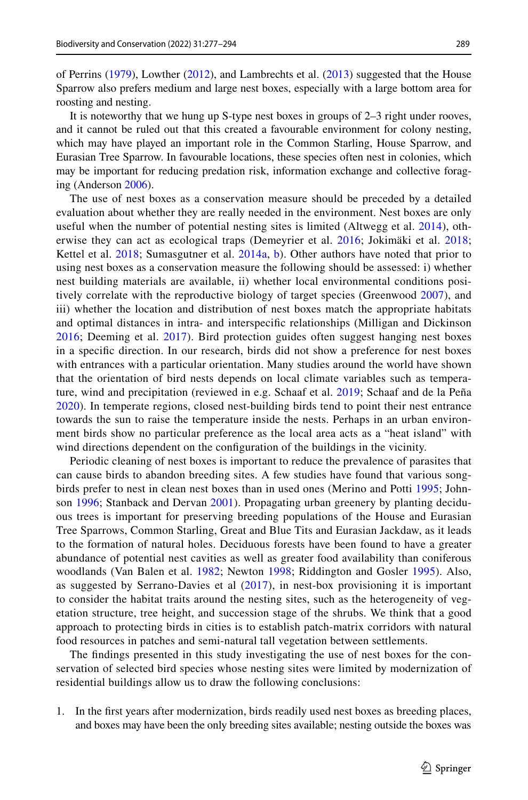of Perrins ([1979\)](#page-16-19), Lowther ([2012\)](#page-15-21), and Lambrechts et al. ([2013\)](#page-15-11) suggested that the House Sparrow also prefers medium and large nest boxes, especially with a large bottom area for roosting and nesting.

It is noteworthy that we hung up S-type nest boxes in groups of 2–3 right under rooves, and it cannot be ruled out that this created a favourable environment for colony nesting, which may have played an important role in the Common Starling, House Sparrow, and Eurasian Tree Sparrow. In favourable locations, these species often nest in colonies, which may be important for reducing predation risk, information exchange and collective foraging (Anderson [2006\)](#page-13-1).

The use of nest boxes as a conservation measure should be preceded by a detailed evaluation about whether they are really needed in the environment. Nest boxes are only useful when the number of potential nesting sites is limited (Altwegg et al. [2014](#page-13-2)), oth-erwise they can act as ecological traps (Demeyrier et al. [2016](#page-14-21); Jokimäki et al. [2018;](#page-15-3) Kettel et al. [2018;](#page-15-22) Sumasgutner et al. [2014a](#page-17-14), [b\)](#page-17-15). Other authors have noted that prior to using nest boxes as a conservation measure the following should be assessed: i) whether nest building materials are available, ii) whether local environmental conditions positively correlate with the reproductive biology of target species (Greenwood [2007\)](#page-14-22), and iii) whether the location and distribution of nest boxes match the appropriate habitats and optimal distances in intra- and interspecifc relationships (Milligan and Dickinson [2016](#page-16-16); Deeming et al. [2017\)](#page-14-23). Bird protection guides often suggest hanging nest boxes in a specifc direction. In our research, birds did not show a preference for nest boxes with entrances with a particular orientation. Many studies around the world have shown that the orientation of bird nests depends on local climate variables such as temperature, wind and precipitation (reviewed in e.g. Schaaf et al. [2019;](#page-16-20) Schaaf and de la Peña [2020](#page-16-21)). In temperate regions, closed nest-building birds tend to point their nest entrance towards the sun to raise the temperature inside the nests. Perhaps in an urban environment birds show no particular preference as the local area acts as a "heat island" with wind directions dependent on the confguration of the buildings in the vicinity.

Periodic cleaning of nest boxes is important to reduce the prevalence of parasites that can cause birds to abandon breeding sites. A few studies have found that various songbirds prefer to nest in clean nest boxes than in used ones (Merino and Potti [1995;](#page-16-22) Johnson [1996;](#page-15-23) Stanback and Dervan [2001\)](#page-17-16). Propagating urban greenery by planting deciduous trees is important for preserving breeding populations of the House and Eurasian Tree Sparrows, Common Starling, Great and Blue Tits and Eurasian Jackdaw, as it leads to the formation of natural holes. Deciduous forests have been found to have a greater abundance of potential nest cavities as well as greater food availability than coniferous woodlands (Van Balen et al. [1982](#page-17-17); Newton [1998;](#page-16-7) Riddington and Gosler [1995\)](#page-16-23). Also, as suggested by Serrano-Davies et al ([2017](#page-17-18)), in nest-box provisioning it is important to consider the habitat traits around the nesting sites, such as the heterogeneity of vegetation structure, tree height, and succession stage of the shrubs. We think that a good approach to protecting birds in cities is to establish patch-matrix corridors with natural food resources in patches and semi-natural tall vegetation between settlements.

The fndings presented in this study investigating the use of nest boxes for the conservation of selected bird species whose nesting sites were limited by modernization of residential buildings allow us to draw the following conclusions:

1. In the frst years after modernization, birds readily used nest boxes as breeding places, and boxes may have been the only breeding sites available; nesting outside the boxes was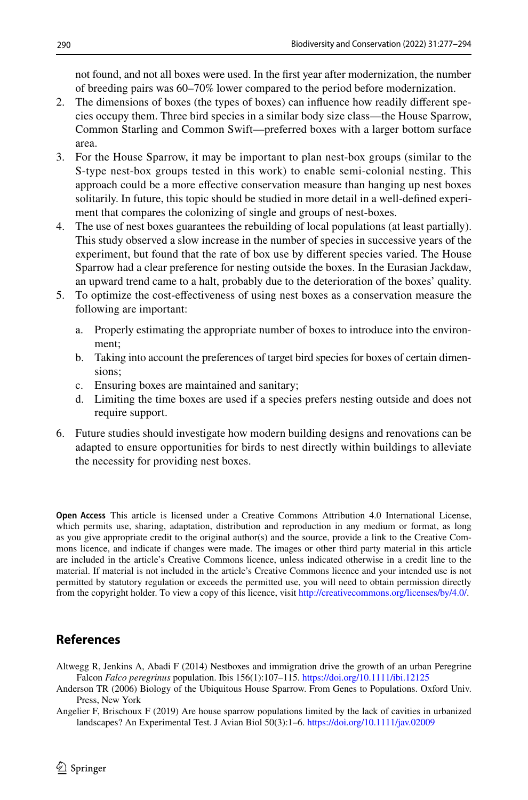not found, and not all boxes were used. In the frst year after modernization, the number of breeding pairs was 60–70% lower compared to the period before modernization.

- 2. The dimensions of boxes (the types of boxes) can infuence how readily diferent species occupy them. Three bird species in a similar body size class—the House Sparrow, Common Starling and Common Swift—preferred boxes with a larger bottom surface area.
- 3. For the House Sparrow, it may be important to plan nest-box groups (similar to the S-type nest-box groups tested in this work) to enable semi-colonial nesting. This approach could be a more efective conservation measure than hanging up nest boxes solitarily. In future, this topic should be studied in more detail in a well-defned experiment that compares the colonizing of single and groups of nest-boxes.
- 4. The use of nest boxes guarantees the rebuilding of local populations (at least partially). This study observed a slow increase in the number of species in successive years of the experiment, but found that the rate of box use by diferent species varied. The House Sparrow had a clear preference for nesting outside the boxes. In the Eurasian Jackdaw, an upward trend came to a halt, probably due to the deterioration of the boxes' quality.
- 5. To optimize the cost-efectiveness of using nest boxes as a conservation measure the following are important:
	- a. Properly estimating the appropriate number of boxes to introduce into the environment;
	- b. Taking into account the preferences of target bird species for boxes of certain dimensions;
	- c. Ensuring boxes are maintained and sanitary;
	- d. Limiting the time boxes are used if a species prefers nesting outside and does not require support.
- 6. Future studies should investigate how modern building designs and renovations can be adapted to ensure opportunities for birds to nest directly within buildings to alleviate the necessity for providing nest boxes.

**Open Access** This article is licensed under a Creative Commons Attribution 4.0 International License, which permits use, sharing, adaptation, distribution and reproduction in any medium or format, as long as you give appropriate credit to the original author(s) and the source, provide a link to the Creative Commons licence, and indicate if changes were made. The images or other third party material in this article are included in the article's Creative Commons licence, unless indicated otherwise in a credit line to the material. If material is not included in the article's Creative Commons licence and your intended use is not permitted by statutory regulation or exceeds the permitted use, you will need to obtain permission directly from the copyright holder. To view a copy of this licence, visit [http://creativecommons.org/licenses/by/4.0/.](http://creativecommons.org/licenses/by/4.0/)

# **References**

- <span id="page-13-2"></span>Altwegg R, Jenkins A, Abadi F (2014) Nestboxes and immigration drive the growth of an urban Peregrine Falcon *Falco peregrinus* population. Ibis 156(1):107–115. <https://doi.org/10.1111/ibi.12125>
- <span id="page-13-1"></span>Anderson TR (2006) Biology of the Ubiquitous House Sparrow. From Genes to Populations. Oxford Univ. Press, New York
- <span id="page-13-0"></span>Angelier F, Brischoux F (2019) Are house sparrow populations limited by the lack of cavities in urbanized landscapes? An Experimental Test. J Avian Biol 50(3):1–6. <https://doi.org/10.1111/jav.02009>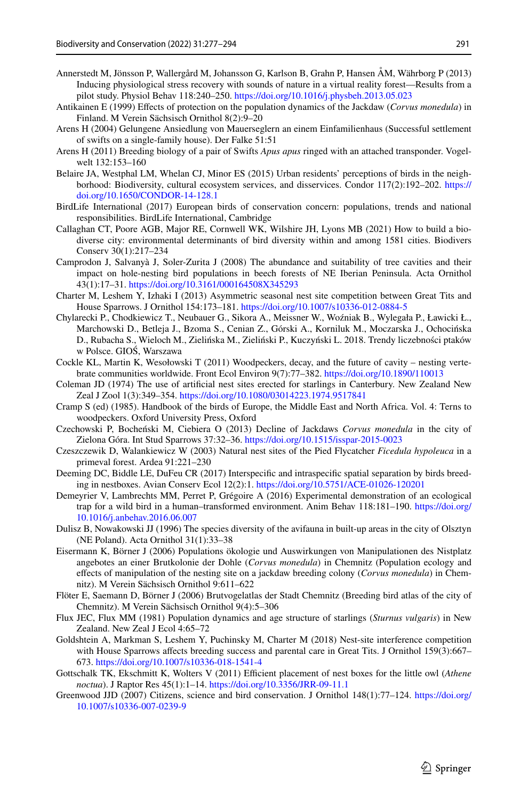- <span id="page-14-6"></span>Annerstedt M, Jönsson P, Wallergård M, Johansson G, Karlson B, Grahn P, Hansen ÅM, Währborg P (2013) Inducing physiological stress recovery with sounds of nature in a virtual reality forest—Results from a pilot study. Physiol Behav 118:240–250.<https://doi.org/10.1016/j.physbeh.2013.05.023>
- <span id="page-14-11"></span>Antikainen E (1999) Efects of protection on the population dynamics of the Jackdaw (*Corvus monedula*) in Finland. M Verein Sächsisch Ornithol 8(2):9–20
- <span id="page-14-15"></span>Arens H (2004) Gelungene Ansiedlung von Mauerseglern an einem Einfamilienhaus (Successful settlement of swifts on a single-family house). Der Falke 51:51
- <span id="page-14-5"></span>Arens H (2011) Breeding biology of a pair of Swifts *Apus apus* ringed with an attached transponder. Vogelwelt 132:153–160
- <span id="page-14-7"></span>Belaire JA, Westphal LM, Whelan CJ, Minor ES (2015) Urban residents' perceptions of birds in the neighborhood: Biodiversity, cultural ecosystem services, and disservices. Condor 117(2):192–202. [https://](https://doi.org/10.1650/CONDOR-14-128.1) [doi.org/10.1650/CONDOR-14-128.1](https://doi.org/10.1650/CONDOR-14-128.1)
- <span id="page-14-0"></span>BirdLife International (2017) European birds of conservation concern: populations, trends and national responsibilities. BirdLife International, Cambridge
- <span id="page-14-8"></span>Callaghan CT, Poore AGB, Major RE, Cornwell WK, Wilshire JH, Lyons MB (2021) How to build a biodiverse city: environmental determinants of bird diversity within and among 1581 cities. Biodivers Conserv 30(1):217–234
- <span id="page-14-2"></span>Camprodon J, Salvanyà J, Soler-Zurita J (2008) The abundance and suitability of tree cavities and their impact on hole-nesting bird populations in beech forests of NE Iberian Peninsula. Acta Ornithol 43(1):17–31.<https://doi.org/10.3161/000164508X345293>
- <span id="page-14-16"></span>Charter M, Leshem Y, Izhaki I (2013) Asymmetric seasonal nest site competition between Great Tits and House Sparrows. J Ornithol 154:173–181. <https://doi.org/10.1007/s10336-012-0884-5>
- <span id="page-14-9"></span>Chylarecki P., Chodkiewicz T., Neubauer G., Sikora A., Meissner W., Woźniak B., Wylegała P., Ławicki Ł., Marchowski D., Betleja J., Bzoma S., Cenian Z., Górski A., Korniluk M., Moczarska J., Ochocińska D., Rubacha S., Wieloch M., Zielińska M., Zieliński P., Kuczyński L. 2018. Trendy liczebności ptaków w Polsce. GIOŚ, Warszawa
- <span id="page-14-3"></span>Cockle KL, Martin K, Wesołowski T (2011) Woodpeckers, decay, and the future of cavity – nesting vertebrate communities worldwide. Front Ecol Environ 9(7):77–382.<https://doi.org/10.1890/110013>
- <span id="page-14-18"></span>Coleman JD (1974) The use of artifcial nest sites erected for starlings in Canterbury. New Zealand New Zeal J Zool 1(3):349–354. <https://doi.org/10.1080/03014223.1974.9517841>
- <span id="page-14-14"></span>Cramp S (ed) (1985). Handbook of the birds of Europe, the Middle East and North Africa. Vol. 4: Terns to woodpeckers. Oxford University Press, Oxford
- <span id="page-14-10"></span>Czechowski P, Bocheński M, Ciebiera O (2013) Decline of Jackdaws *Corvus monedula* in the city of Zielona Góra. Int Stud Sparrows 37:32–36. <https://doi.org/10.1515/isspar-2015-0023>
- <span id="page-14-19"></span>Czeszczewik D, Walankiewicz W (2003) Natural nest sites of the Pied Flycatcher *Ficedula hypoleuca* in a primeval forest. Ardea 91:221–230
- <span id="page-14-23"></span>Deeming DC, Biddle LE, DuFeu CR (2017) Interspecifc and intraspecifc spatial separation by birds breeding in nestboxes. Avian Conserv Ecol 12(2):1.<https://doi.org/10.5751/ACE-01026-120201>
- <span id="page-14-21"></span>Demeyrier V, Lambrechts MM, Perret P, Grégoire A (2016) Experimental demonstration of an ecological trap for a wild bird in a human–transformed environment. Anim Behav 118:181–190. [https://doi.org/](https://doi.org/10.1016/j.anbehav.2016.06.007) [10.1016/j.anbehav.2016.06.007](https://doi.org/10.1016/j.anbehav.2016.06.007)
- <span id="page-14-1"></span>Dulisz B, Nowakowski JJ (1996) The species diversity of the avifauna in built-up areas in the city of Olsztyn (NE Poland). Acta Ornithol 31(1):33–38
- <span id="page-14-13"></span>Eisermann K, Börner J (2006) Populations ökologie und Auswirkungen von Manipulationen des Nistplatz angebotes an einer Brutkolonie der Dohle (*Corvus monedula*) in Chemnitz (Population ecology and efects of manipulation of the nesting site on a jackdaw breeding colony (*Corvus monedula*) in Chemnitz). M Verein Sächsisch Ornithol 9:611–622
- <span id="page-14-12"></span>Flöter E, Saemann D, Börner J (2006) Brutvogelatlas der Stadt Chemnitz (Breeding bird atlas of the city of Chemnitz). M Verein Sächsisch Ornithol 9(4):5–306
- <span id="page-14-20"></span>Flux JEC, Flux MM (1981) Population dynamics and age structure of starlings (*Sturnus vulgaris*) in New Zealand. New Zeal J Ecol 4:65–72
- <span id="page-14-17"></span>Goldshtein A, Markman S, Leshem Y, Puchinsky M, Charter M (2018) Nest-site interference competition with House Sparrows affects breeding success and parental care in Great Tits. J Ornithol 159(3):667– 673. <https://doi.org/10.1007/s10336-018-1541-4>
- <span id="page-14-4"></span>Gottschalk TK, Ekschmitt K, Wolters V (2011) Efficient placement of nest boxes for the little owl (*Athene noctua*). J Raptor Res 45(1):1–14.<https://doi.org/10.3356/JRR-09-11.1>
- <span id="page-14-22"></span>Greenwood JJD (2007) Citizens, science and bird conservation. J Ornithol 148(1):77–124. [https://doi.org/](https://doi.org/10.1007/s10336-007-0239-9) [10.1007/s10336-007-0239-9](https://doi.org/10.1007/s10336-007-0239-9)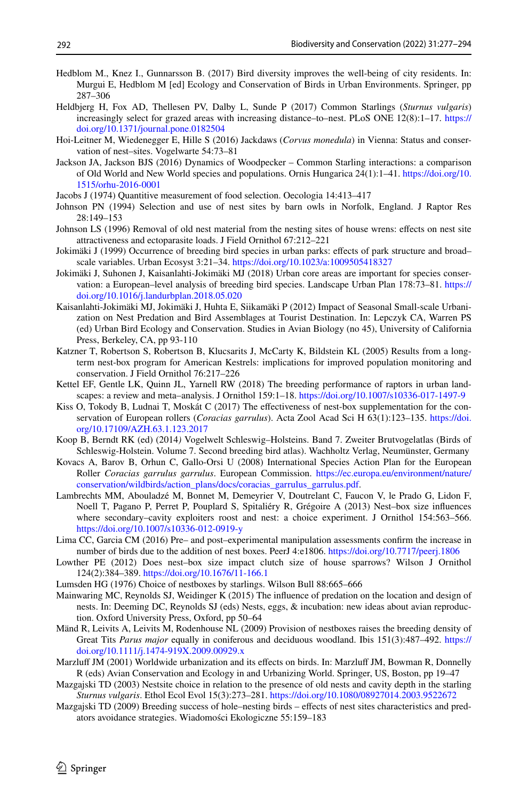- <span id="page-15-14"></span>Hedblom M., Knez I., Gunnarsson B. (2017) Bird diversity improves the well-being of city residents. In: Murgui E, Hedblom M [ed] Ecology and Conservation of Birds in Urban Environments. Springer, pp 287–306
- <span id="page-15-15"></span>Heldbjerg H, Fox AD, Thellesen PV, Dalby L, Sunde P (2017) Common Starlings (*Sturnus vulgaris*) increasingly select for grazed areas with increasing distance–to–nest. PLoS ONE 12(8):1–17. [https://](https://doi.org/10.1371/journal.pone.0182504) [doi.org/10.1371/journal.pone.0182504](https://doi.org/10.1371/journal.pone.0182504)
- <span id="page-15-17"></span>Hoi-Leitner M, Wiedenegger E, Hille S (2016) Jackdaws (*Corvus monedula*) in Vienna: Status and conservation of nest–sites. Vogelwarte 54:73–81
- <span id="page-15-20"></span>Jackson JA, Jackson BJS (2016) Dynamics of Woodpecker – Common Starling interactions: a comparison of Old World and New World species and populations. Ornis Hungarica 24(1):1–41. [https://doi.org/10.](https://doi.org/10.1515/orhu-2016-0001) [1515/orhu-2016-0001](https://doi.org/10.1515/orhu-2016-0001)
- <span id="page-15-12"></span>Jacobs J (1974) Quantitive measurement of food selection. Oecologia 14:413–417
- <span id="page-15-7"></span>Johnson PN (1994) Selection and use of nest sites by barn owls in Norfolk, England. J Raptor Res 28:149–153
- <span id="page-15-23"></span>Johnson LS (1996) Removal of old nest material from the nesting sites of house wrens: efects on nest site attractiveness and ectoparasite loads. J Field Ornithol 67:212–221
- <span id="page-15-2"></span>Jokimäki J (1999) Occurrence of breeding bird species in urban parks: efects of park structure and broad– scale variables. Urban Ecosyst 3:21–34. <https://doi.org/10.1023/a:1009505418327>
- <span id="page-15-3"></span>Jokimäki J, Suhonen J, Kaisanlahti-Jokimäki MJ (2018) Urban core areas are important for species conservation: a European–level analysis of breeding bird species. Landscape Urban Plan 178:73–81. [https://](https://doi.org/10.1016/j.landurbplan.2018.05.020) [doi.org/10.1016/j.landurbplan.2018.05.020](https://doi.org/10.1016/j.landurbplan.2018.05.020)
- <span id="page-15-0"></span>Kaisanlahti-Jokimäki MJ, Jokimäki J, Huhta E, Siikamäki P (2012) Impact of Seasonal Small-scale Urbanization on Nest Predation and Bird Assemblages at Tourist Destination. In: Lepczyk CA, Warren PS (ed) Urban Bird Ecology and Conservation. Studies in Avian Biology (no 45), University of California Press, Berkeley, CA, pp 93-110
- <span id="page-15-8"></span>Katzner T, Robertson S, Robertson B, Klucsarits J, McCarty K, Bildstein KL (2005) Results from a longterm nest-box program for American Kestrels: implications for improved population monitoring and conservation. J Field Ornithol 76:217–226
- <span id="page-15-22"></span>Kettel EF, Gentle LK, Quinn JL, Yarnell RW (2018) The breeding performance of raptors in urban landscapes: a review and meta–analysis. J Ornithol 159:1–18.<https://doi.org/10.1007/s10336-017-1497-9>
- <span id="page-15-6"></span>Kiss O, Tokody B, Ludnai T, Moskát C (2017) The efectiveness of nest-box supplementation for the conservation of European rollers (*Coracias garrulus*). Acta Zool Acad Sci H 63(1):123–135. [https://doi.](https://doi.org/10.17109/AZH.63.1.123.2017) [org/10.17109/AZH.63.1.123.2017](https://doi.org/10.17109/AZH.63.1.123.2017)
- <span id="page-15-16"></span>Koop B, Berndt RK (ed) (2014*)* Vogelwelt Schleswig–Holsteins. Band 7. Zweiter Brutvogelatlas (Birds of Schleswig-Holstein. Volume 7. Second breeding bird atlas). Wachholtz Verlag, Neumünster, Germany
- <span id="page-15-5"></span>Kovacs A, Barov B, Orhun C, Gallo-Orsi U (2008) International Species Action Plan for the European Roller *Coracias garrulus garrulus*. European Commission. [https://ec.europa.eu/environment/nature/](https://ec.europa.eu/environment/nature/conservation/wildbirds/action_plans/docs/coracias_garrulus_garrulus.pdf) [conservation/wildbirds/action\\_plans/docs/coracias\\_garrulus\\_garrulus.pdf.](https://ec.europa.eu/environment/nature/conservation/wildbirds/action_plans/docs/coracias_garrulus_garrulus.pdf)
- <span id="page-15-11"></span>Lambrechts MM, Abouladzé M, Bonnet M, Demeyrier V, Doutrelant C, Faucon V, le Prado G, Lidon F, Noell T, Pagano P, Perret P, Pouplard S, Spitaliéry R, Grégoire A (2013) Nest–box size infuences where secondary–cavity exploiters roost and nest: a choice experiment. J Ornithol 154:563–566. <https://doi.org/10.1007/s10336-012-0919-y>
- <span id="page-15-10"></span>Lima CC, Garcia CM (2016) Pre– and post–experimental manipulation assessments confrm the increase in number of birds due to the addition of nest boxes. PeerJ 4:e1806.<https://doi.org/10.7717/peerj.1806>
- <span id="page-15-21"></span>Lowther PE (2012) Does nest–box size impact clutch size of house sparrows? Wilson J Ornithol 124(2):384–389.<https://doi.org/10.1676/11-166.1>
- <span id="page-15-19"></span>Lumsden HG (1976) Choice of nestboxes by starlings. Wilson Bull 88:665–666
- <span id="page-15-13"></span>Mainwaring MC, Reynolds SJ, Weidinger K (2015) The infuence of predation on the location and design of nests. In: Deeming DC, Reynolds SJ (eds) Nests, eggs, & incubation: new ideas about avian reproduction. Oxford University Press, Oxford, pp 50–64
- <span id="page-15-9"></span>Mänd R, Leivits A, Leivits M, Rodenhouse NL (2009) Provision of nestboxes raises the breeding density of Great Tits *Parus major* equally in coniferous and deciduous woodland. Ibis 151(3):487–492. [https://](https://doi.org/10.1111/j.1474-919X.2009.00929.x) [doi.org/10.1111/j.1474-919X.2009.00929.x](https://doi.org/10.1111/j.1474-919X.2009.00929.x)
- <span id="page-15-1"></span>Marzluff JM (2001) Worldwide urbanization and its effects on birds. In: Marzluff JM, Bowman R, Donnelly R (eds) Avian Conservation and Ecology in and Urbanizing World. Springer, US, Boston, pp 19–47
- <span id="page-15-18"></span>Mazgajski TD (2003) Nestsite choice in relation to the presence of old nests and cavity depth in the starling *Sturnus vulgaris*. Ethol Ecol Evol 15(3):273–281. <https://doi.org/10.1080/08927014.2003.9522672>
- <span id="page-15-4"></span>Mazgajski TD (2009) Breeding success of hole–nesting birds – efects of nest sites characteristics and predators avoidance strategies. Wiadomości Ekologiczne 55:159–183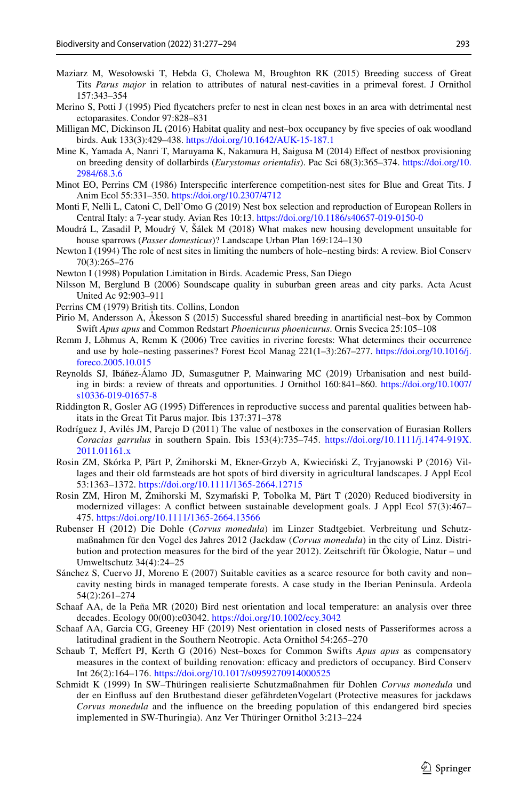- <span id="page-16-18"></span>Maziarz M, Wesołowski T, Hebda G, Cholewa M, Broughton RK (2015) Breeding success of Great Tits *Parus major* in relation to attributes of natural nest-cavities in a primeval forest. J Ornithol 157:343–354
- <span id="page-16-22"></span>Merino S, Potti J (1995) Pied fycatchers prefer to nest in clean nest boxes in an area with detrimental nest ectoparasites. Condor 97:828–831
- <span id="page-16-16"></span>Milligan MC, Dickinson JL (2016) Habitat quality and nest–box occupancy by fve species of oak woodland birds. Auk 133(3):429–438. <https://doi.org/10.1642/AUK-15-187.1>
- <span id="page-16-10"></span>Mine K, Yamada A, Nanri T, Maruyama K, Nakamura H, Saigusa M (2014) Efect of nestbox provisioning on breeding density of dollarbirds (*Eurystomus orientalis*). Pac Sci 68(3):365–374. [https://doi.org/10.](https://doi.org/10.2984/68.3.6) [2984/68.3.6](https://doi.org/10.2984/68.3.6)
- <span id="page-16-15"></span>Minot EO, Perrins CM (1986) Interspecifc interference competition-nest sites for Blue and Great Tits. J Anim Ecol 55:331–350. <https://doi.org/10.2307/4712>
- <span id="page-16-9"></span>Monti F, Nelli L, Catoni C, Dell'Omo G (2019) Nest box selection and reproduction of European Rollers in Central Italy: a 7-year study. Avian Res 10:13. <https://doi.org/10.1186/s40657-019-0150-0>
- <span id="page-16-11"></span>Moudrá L, Zasadil P, Moudrý V, Šálek M (2018) What makes new housing development unsuitable for house sparrows (*Passer domesticus*)? Landscape Urban Plan 169:124–130
- <span id="page-16-6"></span>Newton I (1994) The role of nest sites in limiting the numbers of hole–nesting birds: A review. Biol Conserv 70(3):265–276
- <span id="page-16-7"></span>Newton I (1998) Population Limitation in Birds. Academic Press, San Diego
- <span id="page-16-12"></span>Nilsson M, Berglund B (2006) Soundscape quality in suburban green areas and city parks. Acta Acust United Ac 92:903–911
- <span id="page-16-19"></span>Perrins CM (1979) British tits. Collins, London
- <span id="page-16-17"></span>Pirio M, Andersson A, Åkesson S (2015) Successful shared breeding in anartifcial nest–box by Common Swift *Apus apus* and Common Redstart *Phoenicurus phoenicurus*. Ornis Svecica 25:105–108
- <span id="page-16-4"></span>Remm J, Lõhmus A, Remm K (2006) Tree cavities in riverine forests: What determines their occurrence and use by hole–nesting passerines? Forest Ecol Manag 221(1–3):267–277. [https://doi.org/10.1016/j.](https://doi.org/10.1016/j.foreco.2005.10.015) [foreco.2005.10.015](https://doi.org/10.1016/j.foreco.2005.10.015)
- <span id="page-16-3"></span>Reynolds SJ, Ibáñez-Álamo JD, Sumasgutner P, Mainwaring MC (2019) Urbanisation and nest building in birds: a review of threats and opportunities. J Ornithol 160:841–860. [https://doi.org/10.1007/](https://doi.org/10.1007/s10336-019-01657-8) [s10336-019-01657-8](https://doi.org/10.1007/s10336-019-01657-8)
- <span id="page-16-23"></span>Riddington R, Gosler AG (1995) Diferences in reproductive success and parental qualities between habitats in the Great Tit Parus major. Ibis 137:371–378
- <span id="page-16-8"></span>Rodríguez J, Avilés JM, Parejo D (2011) The value of nestboxes in the conservation of Eurasian Rollers *Coracias garrulus* in southern Spain. Ibis 153(4):735–745. [https://doi.org/10.1111/j.1474-919X.](https://doi.org/10.1111/j.1474-919X.2011.01161.x) [2011.01161.x](https://doi.org/10.1111/j.1474-919X.2011.01161.x)
- <span id="page-16-1"></span>Rosin ZM, Skórka P, Pärt P, Żmihorski M, Ekner-Grzyb A, Kwieciński Z, Tryjanowski P (2016) Villages and their old farmsteads are hot spots of bird diversity in agricultural landscapes. J Appl Ecol 53:1363–1372. <https://doi.org/10.1111/1365-2664.12715>
- <span id="page-16-2"></span>Rosin ZM, Hiron M, Żmihorski M, Szymański P, Tobolka M, Pärt T (2020) Reduced biodiversity in modernized villages: A confict between sustainable development goals. J Appl Ecol 57(3):467– 475.<https://doi.org/10.1111/1365-2664.13566>
- <span id="page-16-14"></span>Rubenser H (2012) Die Dohle (*Corvus monedula*) im Linzer Stadtgebiet. Verbreitung und Schutzmaßnahmen für den Vogel des Jahres 2012 (Jackdaw (*Corvus monedula*) in the city of Linz. Distribution and protection measures for the bird of the year 2012). Zeitschrift für Ökologie, Natur – und Umweltschutz 34(4):24–25
- <span id="page-16-5"></span>Sánchez S, Cuervo JJ, Moreno E (2007) Suitable cavities as a scarce resource for both cavity and non– cavity nesting birds in managed temperate forests. A case study in the Iberian Peninsula. Ardeola 54(2):261–274
- <span id="page-16-21"></span>Schaaf AA, de la Peña MR (2020) Bird nest orientation and local temperature: an analysis over three decades. Ecology 00(00):e03042.<https://doi.org/10.1002/ecy.3042>
- <span id="page-16-20"></span>Schaaf AA, Garcia CG, Greeney HF (2019) Nest orientation in closed nests of Passeriformes across a latitudinal gradient in the Southern Neotropic. Acta Ornithol 54:265–270
- <span id="page-16-0"></span>Schaub T, Mefert PJ, Kerth G (2016) Nest–boxes for Common Swifts *Apus apus* as compensatory measures in the context of building renovation: efficacy and predictors of occupancy. Bird Conserv Int 26(2):164–176.<https://doi.org/10.1017/s0959270914000525>
- <span id="page-16-13"></span>Schmidt K (1999) In SW–Thüringen realisierte Schutzmaßnahmen für Dohlen *Corvus monedula* und der en Einfuss auf den Brutbestand dieser gefährdetenVogelart (Protective measures for jackdaws *Corvus monedula* and the infuence on the breeding population of this endangered bird species implemented in SW-Thuringia). Anz Ver Thüringer Ornithol 3:213–224